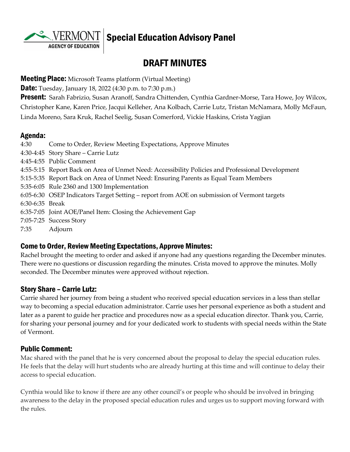**AGENCY OF EDUCATION** 

# Special Education Advisory Panel

# DRAFT MINUTES

#### **Meeting Place:** Microsoft Teams platform (Virtual Meeting)

**Date:** Tuesday, January 18, 2022 (4:30 p.m. to 7:30 p.m.)

**Present:** Sarah Fabrizio, Susan Aranoff, Sandra Chittenden, Cynthia Gardner-Morse, Tara Howe, Joy Wilcox, Christopher Kane, Karen Price, Jacqui Kelleher, Ana Kolbach, Carrie Lutz, Tristan McNamara, Molly McFaun, Linda Moreno, Sara Kruk, Rachel Seelig, Susan Comerford, Vickie Haskins, Crista Yagjian

#### Agenda:

| 4:30            | Come to Order, Review Meeting Expectations, Approve Minutes                                      |
|-----------------|--------------------------------------------------------------------------------------------------|
|                 | 4:30-4:45 Story Share - Carrie Lutz                                                              |
|                 | 4:45-4:55 Public Comment                                                                         |
|                 | 4:55-5:15 Report Back on Area of Unmet Need: Accessibility Policies and Professional Development |
|                 | 5:15-5:35 Report Back on Area of Unmet Need: Ensuring Parents as Equal Team Members              |
|                 | 5:35-6:05 Rule 2360 and 1300 Implementation                                                      |
|                 | 6:05-6:30 OSEP Indicators Target Setting – report from AOE on submission of Vermont targets      |
| 6:30-6:35 Break |                                                                                                  |
|                 | 6:35-7:05 Joint AOE/Panel Item: Closing the Achievement Gap                                      |
|                 | 7:05-7:25 Success Story                                                                          |
| 7:35            | Adjourn                                                                                          |
|                 |                                                                                                  |

#### Come to Order, Review Meeting Expectations, Approve Minutes:

Rachel brought the meeting to order and asked if anyone had any questions regarding the December minutes. There were no questions or discussion regarding the minutes. Crista moved to approve the minutes. Molly seconded. The December minutes were approved without rejection.

#### Story Share – Carrie Lutz:

Carrie shared her journey from being a student who received special education services in a less than stellar way to becoming a special education administrator. Carrie uses her personal experience as both a student and later as a parent to guide her practice and procedures now as a special education director. Thank you, Carrie, for sharing your personal journey and for your dedicated work to students with special needs within the State of Vermont.

#### Public Comment:

Mac shared with the panel that he is very concerned about the proposal to delay the special education rules. He feels that the delay will hurt students who are already hurting at this time and will continue to delay their access to special education.

Cynthia would like to know if there are any other council's or people who should be involved in bringing awareness to the delay in the proposed special education rules and urges us to support moving forward with the rules.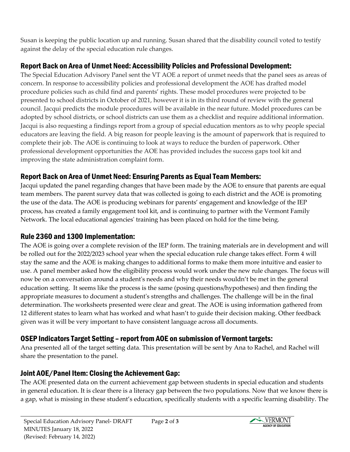Susan is keeping the public location up and running. Susan shared that the disability council voted to testify against the delay of the special education rule changes.

## Report Back on Area of Unmet Need: Accessibility Policies and Professional Development:

The Special Education Advisory Panel sent the VT AOE a report of unmet needs that the panel sees as areas of concern. In response to accessibility policies and professional development the AOE has drafted model procedure policies such as child find and parents' rights. These model procedures were projected to be presented to school districts in October of 2021, however it is in its third round of review with the general council. Jacqui predicts the module procedures will be available in the near future. Model procedures can be adopted by school districts, or school districts can use them as a checklist and require additional information. Jacqui is also requesting a findings report from a group of special education mentors as to why people special educators are leaving the field. A big reason for people leaving is the amount of paperwork that is required to complete their job. The AOE is continuing to look at ways to reduce the burden of paperwork. Other professional development opportunities the AOE has provided includes the success gaps tool kit and improving the state administration complaint form.

### Report Back on Area of Unmet Need: Ensuring Parents as Equal Team Members:

Jacqui updated the panel regarding changes that have been made by the AOE to ensure that parents are equal team members. The parent survey data that was collected is going to each district and the AOE is promoting the use of the data. The AOE is producing webinars for parents' engagement and knowledge of the IEP process, has created a family engagement tool kit, and is continuing to partner with the Vermont Family Network. The local educational agencies' training has been placed on hold for the time being.

### Rule 2360 and 1300 Implementation:

The AOE is going over a complete revision of the IEP form. The training materials are in development and will be rolled out for the 2022/2023 school year when the special education rule change takes effect. Form 4 will stay the same and the AOE is making changes to additional forms to make them more intuitive and easier to use. A panel member asked how the eligibility process would work under the new rule changes. The focus will now be on a conversation around a student's needs and why their needs wouldn't be met in the general education setting. It seems like the process is the same (posing questions/hypotheses) and then finding the appropriate measures to document a student's strengths and challenges. The challenge will be in the final determination. The worksheets presented were clear and great. The AOE is using information gathered from 12 different states to learn what has worked and what hasn't to guide their decision making. Other feedback given was it will be very important to have consistent language across all documents.

### OSEP Indicators Target Setting – report from AOE on submission of Vermont targets:

Ana presented all of the target setting data. This presentation will be sent by Ana to Rachel, and Rachel will share the presentation to the panel.

### Joint AOE/Panel Item: Closing the Achievement Gap:

The AOE presented data on the current achievement gap between students in special education and students in general education. It is clear there is a literacy gap between the two populations. Now that we know there is a gap, what is missing in these student's education, specifically students with a specific learning disability. The